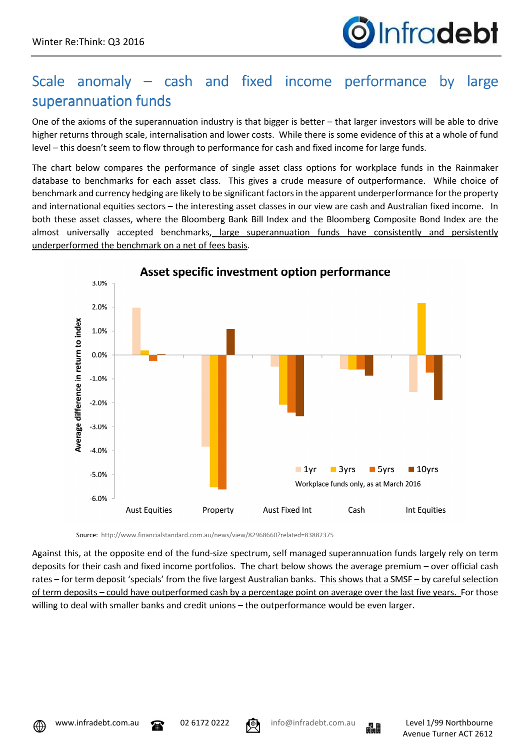

## Scale anomaly – cash and fixed income performance by large superannuation funds

One of the axioms of the superannuation industry is that bigger is better – that larger investors will be able to drive higher returns through scale, internalisation and lower costs. While there is some evidence of this at a whole of fund level – this doesn't seem to flow through to performance for cash and fixed income for large funds.

The chart below compares the performance of single asset class options for workplace funds in the Rainmaker database to benchmarks for each asset class. This gives a crude measure of outperformance. While choice of benchmark and currency hedging are likely to be significant factors in the apparent underperformance for the property and international equities sectors – the interesting asset classes in our view are cash and Australian fixed income. In both these asset classes, where the Bloomberg Bank Bill Index and the Bloomberg Composite Bond Index are the almost universally accepted benchmarks, large superannuation funds have consistently and persistently underperformed the benchmark on a net of fees basis.



Asset specific investment option performance

Source: http://www.financialstandard.com.au/news/view/82968660?related=83882375

Against this, at the opposite end of the fund-size spectrum, self managed superannuation funds largely rely on term deposits for their cash and fixed income portfolios. The chart below shows the average premium – over official cash rates – for term deposit 'specials' from the five largest Australian banks. This shows that a SMSF – by careful selection of term deposits – could have outperformed cash by a percentage point on average over the last five years. For those willing to deal with smaller banks and credit unions – the outperformance would be even larger.